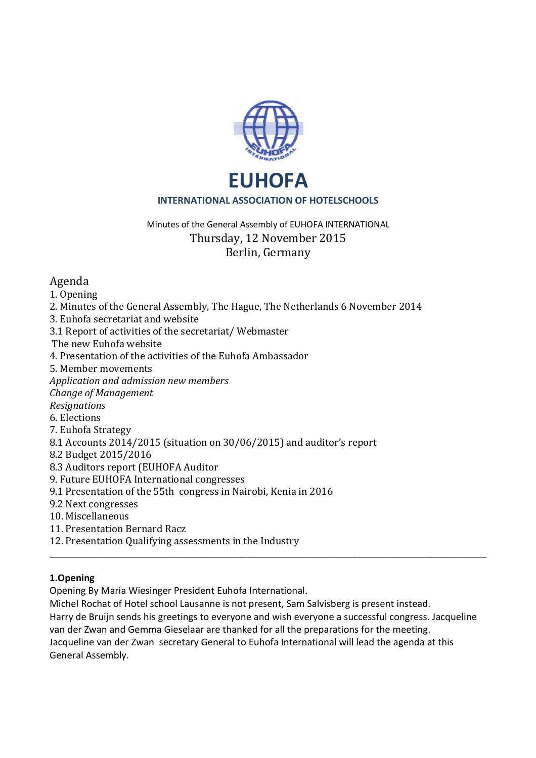

# Minutes of the General Assembly of EUHOFA INTERNATIONAL Thursday, 12 November 2015 Berlin, Germany

# Agenda

1. Opening

- 2. Minutes of the General Assembly, The Hague, The Netherlands 6 November 2014
- 3. Euhofa secretariat and website
- 3.1 Report of activities of the secretariat/ Webmaster
- The new Euhofa website
- 4. Presentation of the activities of the Euhofa Ambassador
- 5. Member movements
- *Application and admission new members*
- *Change of Management*
- *Resignations*
- 6. Elections
- 7. Euhofa Strategy
- 8.1 Accounts 2014/2015 (situation on 30/06/2015) and auditor's report
- 8.2 Budget 2015/2016
- 8.3 Auditors report (EUHOFA Auditor
- 9. Future EUHOFA International congresses
- 9.1 Presentation of the 55th congress in Nairobi, Kenia in 2016
- 9.2 Next congresses
- 10. Miscellaneous
- 11. Presentation Bernard Racz
- 12. Presentation Qualifying assessments in the Industry

## **1.Opening**

Opening By Maria Wiesinger President Euhofa International.

Michel Rochat of Hotel school Lausanne is not present, Sam Salvisberg is present instead. Harry de Bruijn sends his greetings to everyone and wish everyone a successful congress. Jacqueline van der Zwan and Gemma Gieselaar are thanked for all the preparations for the meeting. Jacqueline van der Zwan secretary General to Euhofa International will lead the agenda at this General Assembly.

\_\_\_\_\_\_\_\_\_\_\_\_\_\_\_\_\_\_\_\_\_\_\_\_\_\_\_\_\_\_\_\_\_\_\_\_\_\_\_\_\_\_\_\_\_\_\_\_\_\_\_\_\_\_\_\_\_\_\_\_\_\_\_\_\_\_\_\_\_\_\_\_\_\_\_\_\_\_\_\_\_\_\_\_\_\_\_\_\_\_\_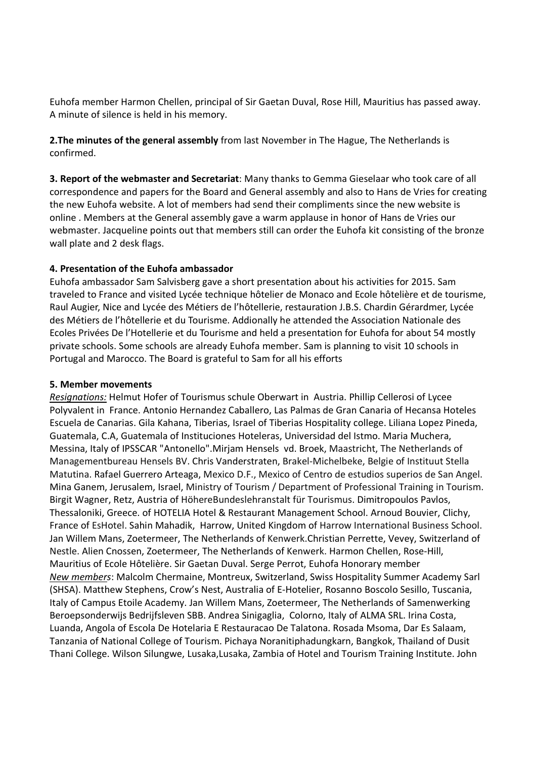Euhofa member Harmon Chellen, principal of Sir Gaetan Duval, Rose Hill, Mauritius has passed away. A minute of silence is held in his memory.

**2.The minutes of the general assembly** from last November in The Hague, The Netherlands is confirmed.

**3. Report of the webmaster and Secretariat**: Many thanks to Gemma Gieselaar who took care of all correspondence and papers for the Board and General assembly and also to Hans de Vries for creating the new Euhofa website. A lot of members had send their compliments since the new website is online . Members at the General assembly gave a warm applause in honor of Hans de Vries our webmaster. Jacqueline points out that members still can order the Euhofa kit consisting of the bronze wall plate and 2 desk flags.

### **4. Presentation of the Euhofa ambassador**

Euhofa ambassador Sam Salvisberg gave a short presentation about his activities for 2015. Sam traveled to France and visited Lycée technique hôtelier de Monaco and Ecole hôtelière et de tourisme, Raul Augier, Nice and Lycée des Métiers de l'hôtellerie, restauration J.B.S. Chardin Gérardmer, Lycée des Métiers de l'hôtellerie et du Tourisme. Addionally he attended the Association Nationale des Ecoles Privées De l'Hotellerie et du Tourisme and held a presentation for Euhofa for about 54 mostly private schools. Some schools are already Euhofa member. Sam is planning to visit 10 schools in Portugal and Marocco. The Board is grateful to Sam for all his efforts

#### **5. Member movements**

*Resignations:* Helmut Hofer of Tourismus schule Oberwart in Austria. Phillip Cellerosi of Lycee Polyvalent in France. Antonio Hernandez Caballero, Las Palmas de Gran Canaria of Hecansa Hoteles Escuela de Canarias. Gila Kahana, Tiberias, Israel of Tiberias Hospitality college. Liliana Lopez Pineda, Guatemala, C.A, Guatemala of Instituciones Hoteleras, Universidad del Istmo. Maria Muchera, Messina, Italy of IPSSCAR "Antonello".Mirjam Hensels vd. Broek, Maastricht, The Netherlands of Managementbureau Hensels BV. Chris Vanderstraten, Brakel-Michelbeke, Belgie of Instituut Stella Matutina. Rafael Guerrero Arteaga, Mexico D.F., Mexico of Centro de estudios superios de San Angel. Mina Ganem, Jerusalem, Israel, Ministry of Tourism / Department of Professional Training in Tourism. Birgit Wagner, Retz, Austria of HöhereBundeslehranstalt für Tourismus. Dimitropoulos Pavlos, Thessaloniki, Greece. of HOTELIA Hotel & Restaurant Management School. Arnoud Bouvier, Clichy, France of EsHotel. Sahin Mahadik, Harrow, United Kingdom of Harrow International Business School. Jan Willem Mans, Zoetermeer, The Netherlands of Kenwerk.Christian Perrette, Vevey, Switzerland of Nestle. Alien Cnossen, Zoetermeer, The Netherlands of Kenwerk. Harmon Chellen, Rose-Hill, Mauritius of Ecole Hôtelière. Sir Gaetan Duval. Serge Perrot, Euhofa Honorary member *New members*: Malcolm Chermaine, Montreux, Switzerland, Swiss Hospitality Summer Academy Sarl (SHSA). Matthew Stephens, Crow's Nest, Australia of E-Hotelier, Rosanno Boscolo Sesillo, Tuscania, Italy of Campus Etoile Academy. Jan Willem Mans, Zoetermeer, The Netherlands of Samenwerking Beroepsonderwijs Bedrijfsleven SBB. Andrea Sinigaglia, Colorno, Italy of ALMA SRL. Irina Costa, Luanda, Angola of Escola De Hotelaria E Restauracao De Talatona. Rosada Msoma, Dar Es Salaam, Tanzania of National College of Tourism. Pichaya Noranitiphadungkarn, Bangkok, Thailand of Dusit Thani College. Wilson Silungwe, Lusaka,Lusaka, Zambia of Hotel and Tourism Training Institute. John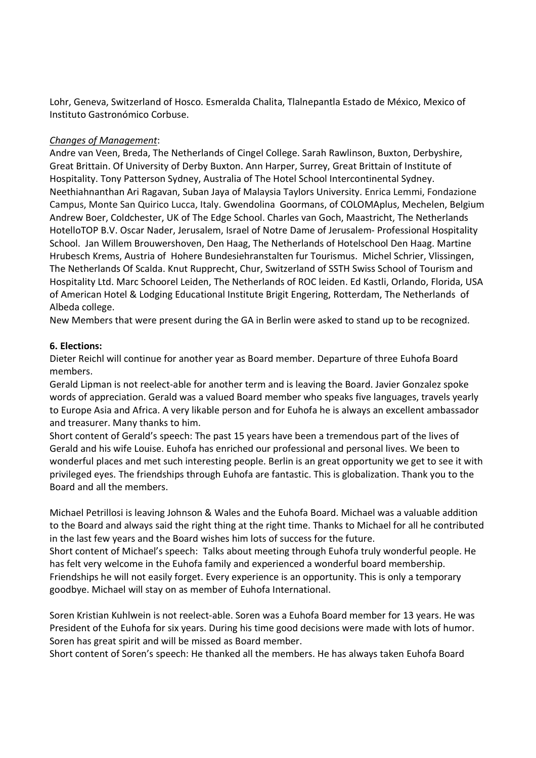Lohr, Geneva, Switzerland of Hosco. Esmeralda Chalita, Tlalnepantla Estado de México, Mexico of Instituto Gastronómico Corbuse.

### *Changes of Management*:

Andre van Veen, Breda, The Netherlands of Cingel College. Sarah Rawlinson, Buxton, Derbyshire, Great Brittain. Of University of Derby Buxton. Ann Harper, Surrey, Great Brittain of Institute of Hospitality. Tony Patterson Sydney, Australia of The Hotel School Intercontinental Sydney. Neethiahnanthan Ari Ragavan, Suban Jaya of Malaysia Taylors University. Enrica Lemmi, Fondazione Campus, Monte San Quirico Lucca, Italy. Gwendolina Goormans, of COLOMAplus, Mechelen, Belgium Andrew Boer, Coldchester, UK of The Edge School. Charles van Goch, Maastricht, The Netherlands HotelloTOP B.V. Oscar Nader, Jerusalem, Israel of Notre Dame of Jerusalem- Professional Hospitality School. Jan Willem Brouwershoven, Den Haag, The Netherlands of Hotelschool Den Haag. Martine Hrubesch Krems, Austria of Hohere Bundesiehranstalten fur Tourismus. Michel Schrier, Vlissingen, The Netherlands Of Scalda. Knut Rupprecht, Chur, Switzerland of SSTH Swiss School of Tourism and Hospitality Ltd. Marc Schoorel Leiden, The Netherlands of ROC leiden. Ed Kastli, Orlando, Florida, USA of American Hotel & Lodging Educational Institute Brigit Engering, Rotterdam, The Netherlands of Albeda college.

New Members that were present during the GA in Berlin were asked to stand up to be recognized.

### **6. Elections:**

Dieter Reichl will continue for another year as Board member. Departure of three Euhofa Board members.

Gerald Lipman is not reelect-able for another term and is leaving the Board. Javier Gonzalez spoke words of appreciation. Gerald was a valued Board member who speaks five languages, travels yearly to Europe Asia and Africa. A very likable person and for Euhofa he is always an excellent ambassador and treasurer. Many thanks to him.

Short content of Gerald's speech: The past 15 years have been a tremendous part of the lives of Gerald and his wife Louise. Euhofa has enriched our professional and personal lives. We been to wonderful places and met such interesting people. Berlin is an great opportunity we get to see it with privileged eyes. The friendships through Euhofa are fantastic. This is globalization. Thank you to the Board and all the members.

Michael Petrillosi is leaving Johnson & Wales and the Euhofa Board. Michael was a valuable addition to the Board and always said the right thing at the right time. Thanks to Michael for all he contributed in the last few years and the Board wishes him lots of success for the future.

Short content of Michael's speech: Talks about meeting through Euhofa truly wonderful people. He has felt very welcome in the Euhofa family and experienced a wonderful board membership. Friendships he will not easily forget. Every experience is an opportunity. This is only a temporary goodbye. Michael will stay on as member of Euhofa International.

Soren Kristian Kuhlwein is not reelect-able. Soren was a Euhofa Board member for 13 years. He was President of the Euhofa for six years. During his time good decisions were made with lots of humor. Soren has great spirit and will be missed as Board member.

Short content of Soren's speech: He thanked all the members. He has always taken Euhofa Board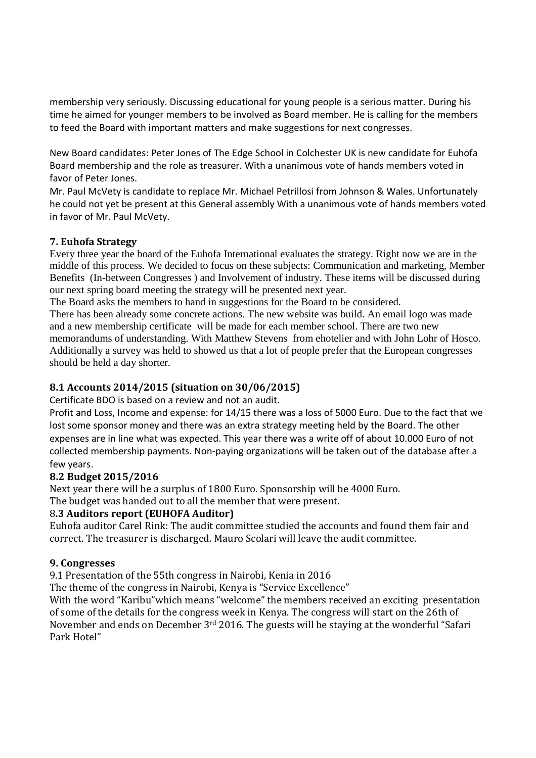membership very seriously. Discussing educational for young people is a serious matter. During his time he aimed for younger members to be involved as Board member. He is calling for the members to feed the Board with important matters and make suggestions for next congresses.

New Board candidates: Peter Jones of The Edge School in Colchester UK is new candidate for Euhofa Board membership and the role as treasurer. With a unanimous vote of hands members voted in favor of Peter Jones.

Mr. Paul McVety is candidate to replace Mr. Michael Petrillosi from Johnson & Wales. Unfortunately he could not yet be present at this General assembly With a unanimous vote of hands members voted in favor of Mr. Paul McVety.

## **7. Euhofa Strategy**

Every three year the board of the Euhofa International evaluates the strategy. Right now we are in the middle of this process. We decided to focus on these subjects: Communication and marketing, Member Benefits (In-between Congresses ) and Involvement of industry. These items will be discussed during our next spring board meeting the strategy will be presented next year.

The Board asks the members to hand in suggestions for the Board to be considered.

There has been already some concrete actions. The new website was build. An email logo was made and a new membership certificate will be made for each member school. There are two new memorandums of understanding. With Matthew Stevens from ehotelier and with John Lohr of Hosco. Additionally a survey was held to showed us that a lot of people prefer that the European congresses should be held a day shorter.

## **8.1 Accounts 2014/2015 (situation on 30/06/2015)**

Certificate BDO is based on a review and not an audit.

Profit and Loss, Income and expense: for 14/15 there was a loss of 5000 Euro. Due to the fact that we lost some sponsor money and there was an extra strategy meeting held by the Board. The other expenses are in line what was expected. This year there was a write off of about 10.000 Euro of not collected membership payments. Non-paying organizations will be taken out of the database after a few years.

## **8.2 Budget 2015/2016**

Next year there will be a surplus of 1800 Euro. Sponsorship will be 4000 Euro.

The budget was handed out to all the member that were present.

## 8**.3 Auditors report (EUHOFA Auditor)**

Euhofa auditor Carel Rink: The audit committee studied the accounts and found them fair and correct. The treasurer is discharged. Mauro Scolari will leave the audit committee.

## **9. Congresses**

9.1 Presentation of the 55th congress in Nairobi, Kenia in 2016

The theme of the congress in Nairobi, Kenya is "Service Excellence"

With the word "Karibu"which means "welcome" the members received an exciting presentation of some of the details for the congress week in Kenya. The congress will start on the 26th of November and ends on December 3rd 2016. The guests will be staying at the wonderful "Safari Park Hotel"